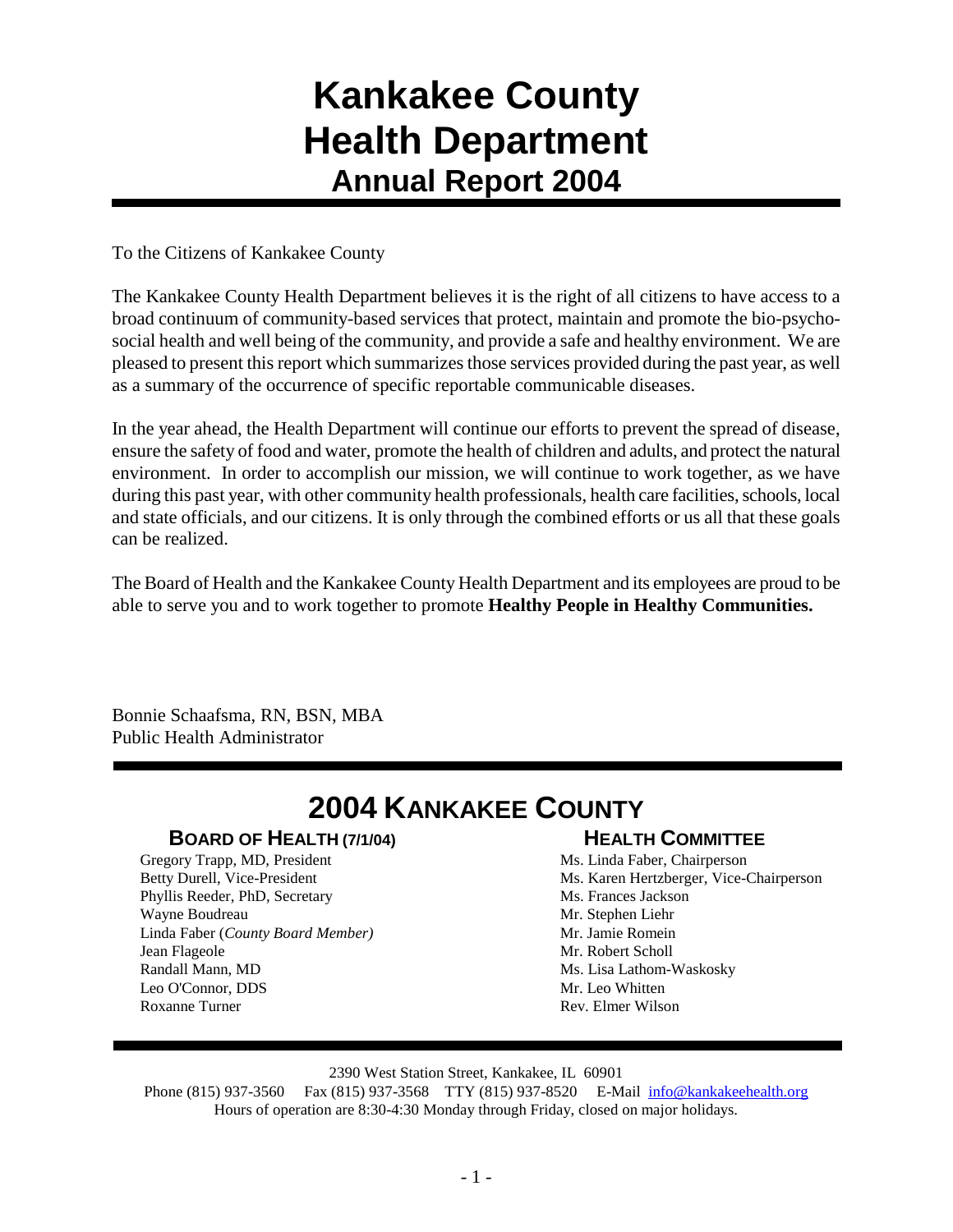# **Kankakee County Health Department Annual Report 2004**

To the Citizens of Kankakee County

The Kankakee County Health Department believes it is the right of all citizens to have access to a broad continuum of community-based services that protect, maintain and promote the bio-psychosocial health and well being of the community, and provide a safe and healthy environment. We are pleased to present this report which summarizes those services provided during the past year, as well as a summary of the occurrence of specific reportable communicable diseases.

In the year ahead, the Health Department will continue our efforts to prevent the spread of disease, ensure the safety of food and water, promote the health of children and adults, and protect the natural environment. In order to accomplish our mission, we will continue to work together, as we have during this past year, with other community health professionals, health care facilities, schools, local and state officials, and our citizens. It is only through the combined efforts or us all that these goals can be realized.

The Board of Health and the Kankakee County Health Department and its employees are proud to be able to serve you and to work together to promote **Healthy People in Healthy Communities.**

Bonnie Schaafsma, RN, BSN, MBA Public Health Administrator

# **2004 KANKAKEE COUNTY**

### **BOARD OF HEALTH (7/1/04)**

Gregory Trapp, MD, President Betty Durell, Vice-President Phyllis Reeder, PhD, Secretary Wayne Boudreau Linda Faber (*County Board Member)* Jean Flageole Randall Mann, MD Leo O'Connor, DDS Roxanne Turner

## **HEALTH COMMITTEE**

Ms. Linda Faber, Chairperson Ms. Karen Hertzberger, Vice-Chairperson Ms. Frances Jackson Mr. Stephen Liehr Mr. Jamie Romein Mr. Robert Scholl Ms. Lisa Lathom-Waskosky Mr. Leo Whitten Rev. Elmer Wilson

### 2390 West Station Street, Kankakee, IL 60901

Phone (815) 937-3560 Fax (815) 937-3568 TTY (815) 937-8520 E-Mail [info@kankakeehealth.org](mailto:pkankake@idphnet.com) Hours of operation are 8:30-4:30 Monday through Friday, closed on major holidays.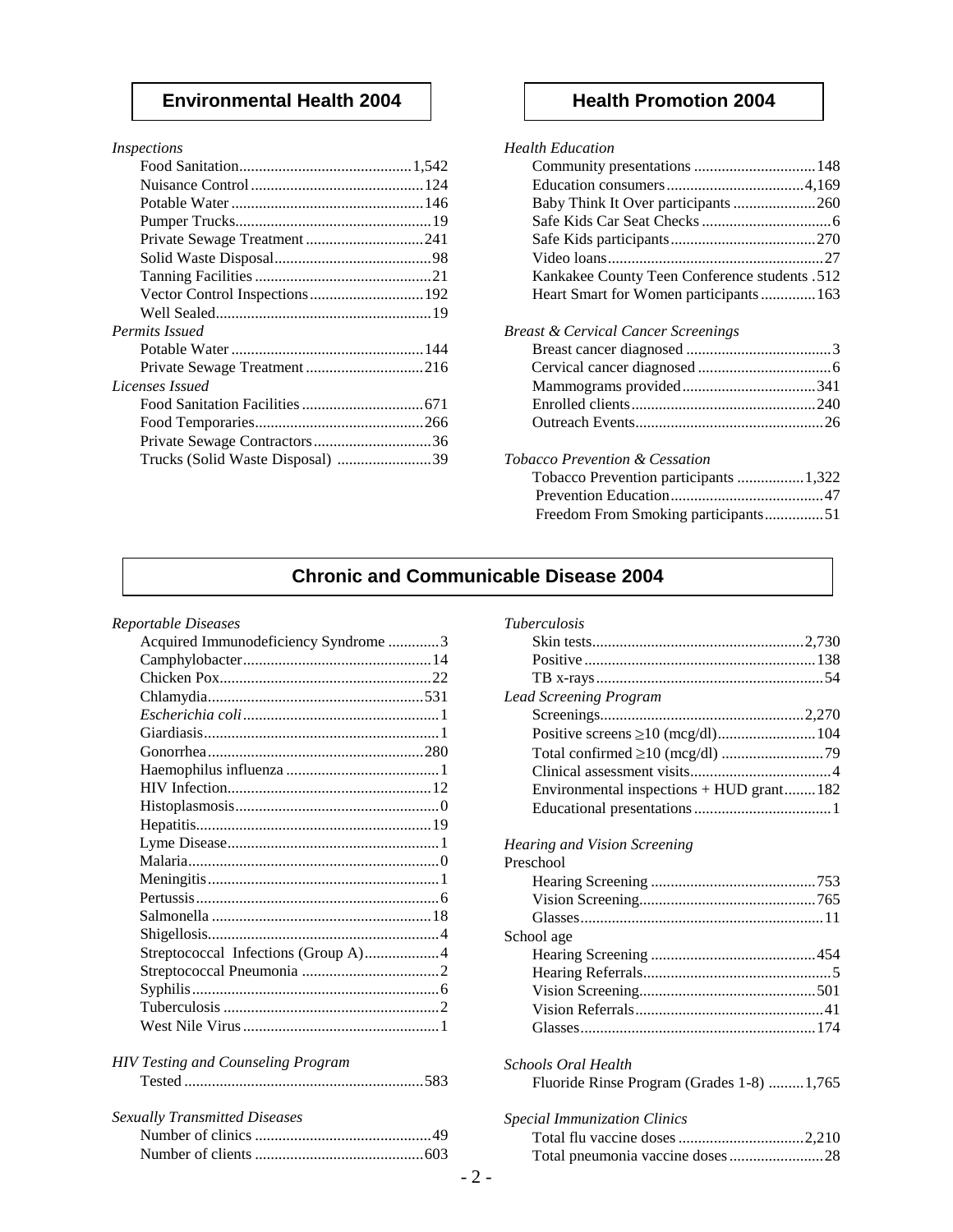### **Environmental Health 2004 Health Promotion 2004**

| Inspections |  |
|-------------|--|
|             |  |

| Permits Issued                   |  |
|----------------------------------|--|
|                                  |  |
| Private Sewage Treatment216      |  |
| Licenses Issued                  |  |
|                                  |  |
|                                  |  |
| Private Sewage Contractors36     |  |
| Trucks (Solid Waste Disposal) 39 |  |
|                                  |  |

| <b>Health Education</b>                        |  |
|------------------------------------------------|--|
| Community presentations  148                   |  |
|                                                |  |
| Baby Think It Over participants 260            |  |
|                                                |  |
|                                                |  |
|                                                |  |
| Kankakee County Teen Conference students .512  |  |
| Heart Smart for Women participants 163         |  |
| <b>Breast &amp; Cervical Cancer Screenings</b> |  |
|                                                |  |
|                                                |  |
|                                                |  |
|                                                |  |
|                                                |  |
| Tobacco Prevention & Cessation                 |  |
| Tobacco Prevention participants  1,322         |  |
|                                                |  |
| Freedom From Smoking participants51            |  |
|                                                |  |

### **Chronic and Communicable Disease 2004**

*Reportable Diseases*

| Acquired Immunodeficiency Syndrome 3 |  |
|--------------------------------------|--|
|                                      |  |
|                                      |  |
|                                      |  |
|                                      |  |
|                                      |  |
|                                      |  |
|                                      |  |
|                                      |  |
|                                      |  |
|                                      |  |
|                                      |  |
|                                      |  |
|                                      |  |
|                                      |  |
|                                      |  |
|                                      |  |
| Streptococcal Infections (Group A)4  |  |
|                                      |  |
|                                      |  |
|                                      |  |
|                                      |  |
|                                      |  |

| <b>HIV Testing and Counseling Program</b> |  |
|-------------------------------------------|--|
|                                           |  |

| <b>Sexually Transmitted Diseases</b> |  |
|--------------------------------------|--|
|                                      |  |
|                                      |  |

| <b>Tuberculosis</b>                                               |
|-------------------------------------------------------------------|
|                                                                   |
|                                                                   |
|                                                                   |
| <b>Lead Screening Program</b>                                     |
|                                                                   |
|                                                                   |
|                                                                   |
|                                                                   |
| Environmental inspections + HUD grant182                          |
|                                                                   |
|                                                                   |
| Hearing and Vision Screening                                      |
| Preschool                                                         |
|                                                                   |
|                                                                   |
|                                                                   |
| School age                                                        |
|                                                                   |
|                                                                   |
|                                                                   |
|                                                                   |
|                                                                   |
| Schools Oral Health<br>Fluoride Rinse Program (Grades 1-8)  1,765 |
| <b>Special Immunization Clinics</b>                               |
|                                                                   |
| Total pneumonia vaccine doses28                                   |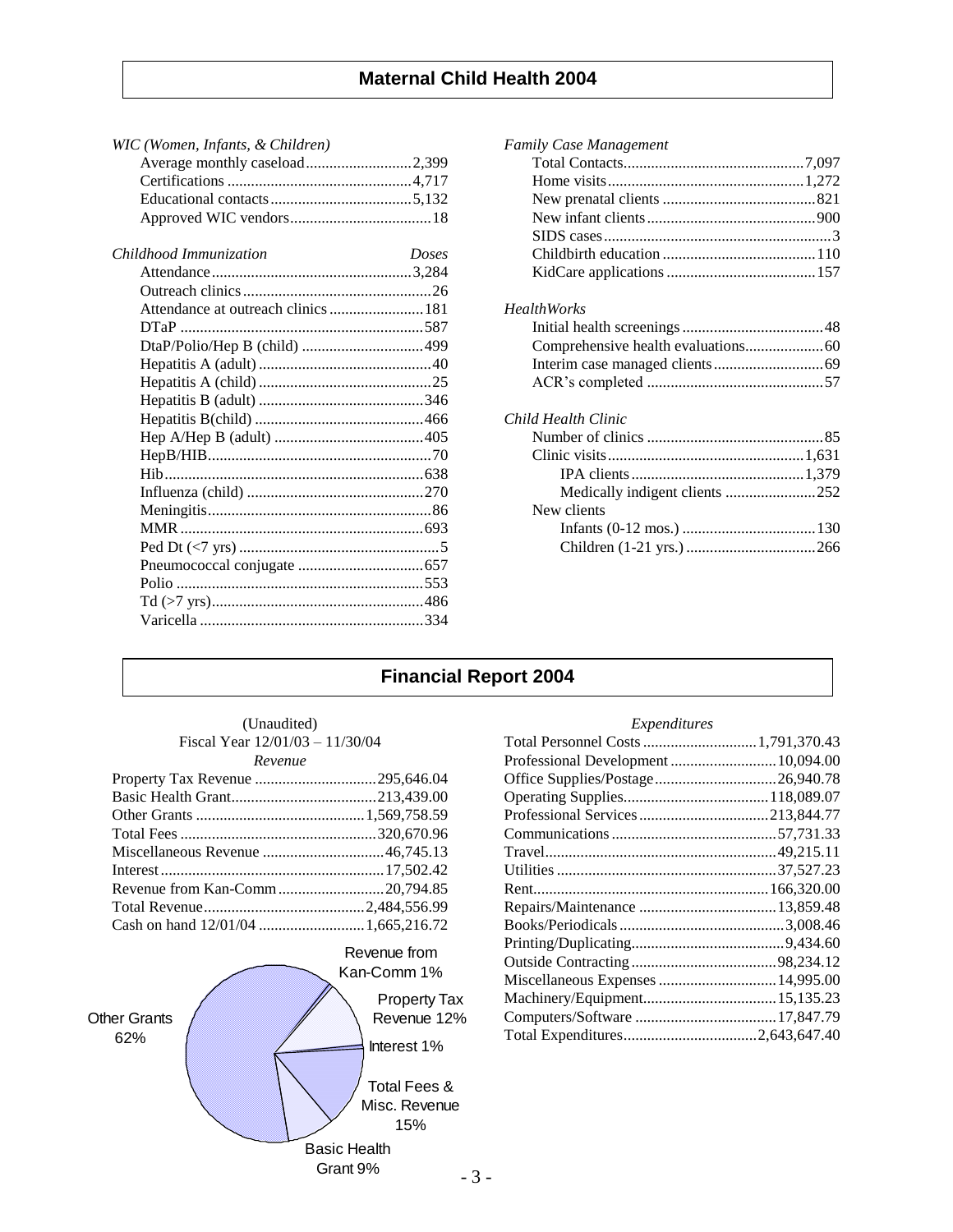| WIC (Women, Infants, & Children)    |       |
|-------------------------------------|-------|
| Average monthly caseload2,399       |       |
|                                     |       |
|                                     |       |
|                                     |       |
| Childhood Immunization              | Doses |
|                                     |       |
|                                     |       |
| Attendance at outreach clinics  181 |       |
|                                     |       |
|                                     |       |
|                                     |       |
|                                     |       |
|                                     |       |
|                                     |       |
|                                     |       |
|                                     |       |
|                                     |       |
|                                     |       |
|                                     |       |
|                                     |       |
|                                     |       |
|                                     |       |
|                                     |       |
|                                     |       |
|                                     |       |

| <b>Family Case Management</b>  |  |
|--------------------------------|--|
|                                |  |
|                                |  |
|                                |  |
|                                |  |
|                                |  |
|                                |  |
|                                |  |
| <b>HealthWorks</b>             |  |
|                                |  |
|                                |  |
|                                |  |
|                                |  |
| Child Health Clinic            |  |
|                                |  |
|                                |  |
|                                |  |
| Medically indigent clients 252 |  |
| New clients                    |  |
|                                |  |
|                                |  |
|                                |  |

## **Financial Report 2004**

| (Unaudited)<br>Fiscal Year 12/01/03 - 11/30/04 |  |
|------------------------------------------------|--|
| Revenue                                        |  |
|                                                |  |
|                                                |  |
|                                                |  |
|                                                |  |
|                                                |  |
|                                                |  |
|                                                |  |
|                                                |  |
|                                                |  |



### *Expenditures*

| Professional Development  10,094.00 |  |
|-------------------------------------|--|
| Office Supplies/Postage26,940.78    |  |
|                                     |  |
|                                     |  |
|                                     |  |
|                                     |  |
|                                     |  |
|                                     |  |
|                                     |  |
|                                     |  |
|                                     |  |
|                                     |  |
|                                     |  |
|                                     |  |
|                                     |  |
|                                     |  |